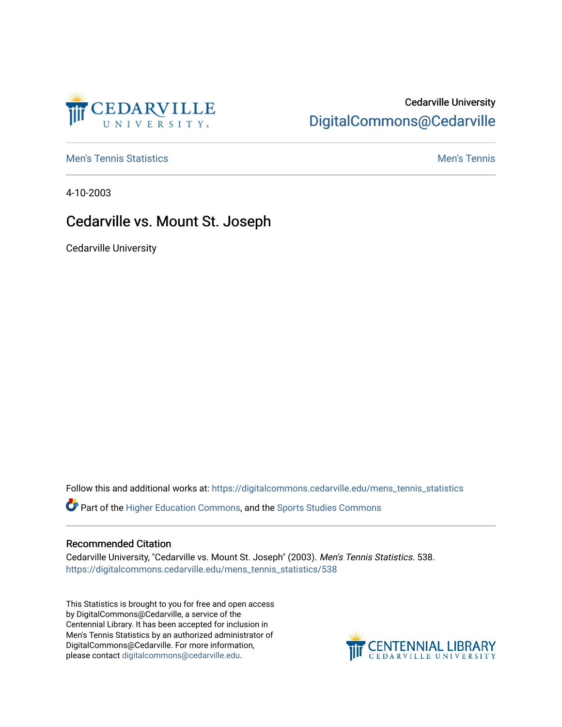

## Cedarville University [DigitalCommons@Cedarville](https://digitalcommons.cedarville.edu/)

**[Men's Tennis Statistics](https://digitalcommons.cedarville.edu/mens_tennis_statistics) Men's Tennis** Men's Tennis

4-10-2003

## Cedarville vs. Mount St. Joseph

Cedarville University

Follow this and additional works at: [https://digitalcommons.cedarville.edu/mens\\_tennis\\_statistics](https://digitalcommons.cedarville.edu/mens_tennis_statistics?utm_source=digitalcommons.cedarville.edu%2Fmens_tennis_statistics%2F538&utm_medium=PDF&utm_campaign=PDFCoverPages)

Part of the [Higher Education Commons,](http://network.bepress.com/hgg/discipline/1245?utm_source=digitalcommons.cedarville.edu%2Fmens_tennis_statistics%2F538&utm_medium=PDF&utm_campaign=PDFCoverPages) and the [Sports Studies Commons](http://network.bepress.com/hgg/discipline/1198?utm_source=digitalcommons.cedarville.edu%2Fmens_tennis_statistics%2F538&utm_medium=PDF&utm_campaign=PDFCoverPages) 

## Recommended Citation

Cedarville University, "Cedarville vs. Mount St. Joseph" (2003). Men's Tennis Statistics. 538. [https://digitalcommons.cedarville.edu/mens\\_tennis\\_statistics/538](https://digitalcommons.cedarville.edu/mens_tennis_statistics/538?utm_source=digitalcommons.cedarville.edu%2Fmens_tennis_statistics%2F538&utm_medium=PDF&utm_campaign=PDFCoverPages) 

This Statistics is brought to you for free and open access by DigitalCommons@Cedarville, a service of the Centennial Library. It has been accepted for inclusion in Men's Tennis Statistics by an authorized administrator of DigitalCommons@Cedarville. For more information, please contact [digitalcommons@cedarville.edu](mailto:digitalcommons@cedarville.edu).